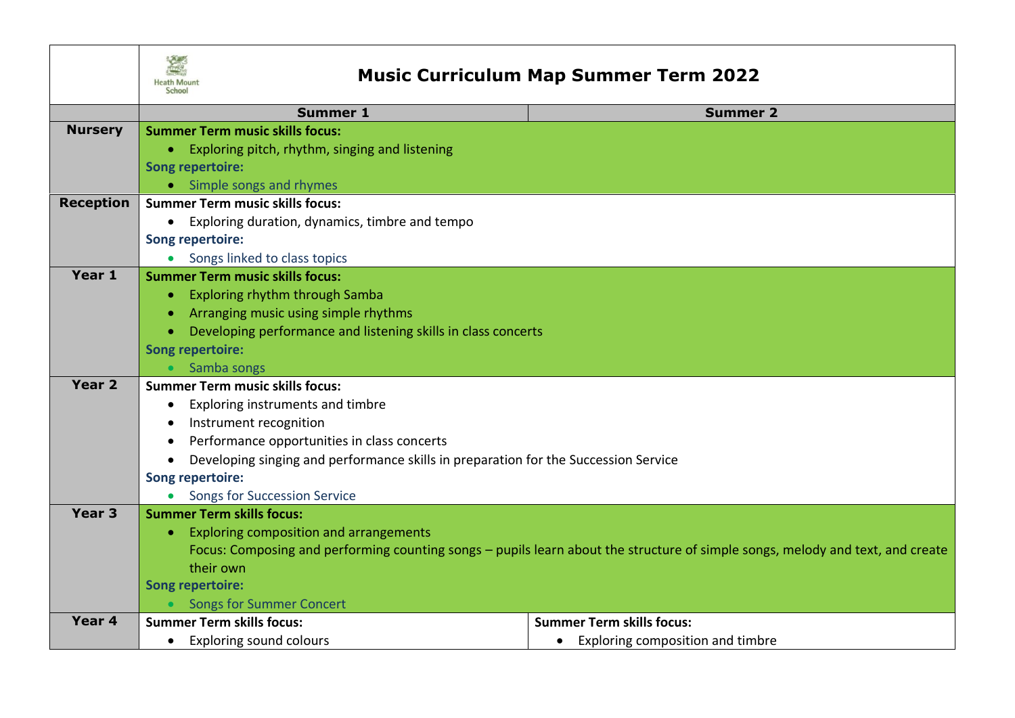

## **Music Curriculum Map Summer Term 2022**

|                   | <b>Summer 1</b>                                                                                                                | <b>Summer 2</b>                               |  |
|-------------------|--------------------------------------------------------------------------------------------------------------------------------|-----------------------------------------------|--|
| <b>Nursery</b>    | <b>Summer Term music skills focus:</b>                                                                                         |                                               |  |
|                   | Exploring pitch, rhythm, singing and listening                                                                                 |                                               |  |
|                   | <b>Song repertoire:</b>                                                                                                        |                                               |  |
|                   | • Simple songs and rhymes                                                                                                      |                                               |  |
| <b>Reception</b>  | <b>Summer Term music skills focus:</b>                                                                                         |                                               |  |
|                   | Exploring duration, dynamics, timbre and tempo                                                                                 |                                               |  |
|                   | <b>Song repertoire:</b>                                                                                                        |                                               |  |
|                   | Songs linked to class topics<br>$\bullet$                                                                                      |                                               |  |
| Year 1            | <b>Summer Term music skills focus:</b>                                                                                         |                                               |  |
|                   | Exploring rhythm through Samba                                                                                                 |                                               |  |
|                   | Arranging music using simple rhythms                                                                                           |                                               |  |
|                   | Developing performance and listening skills in class concerts                                                                  |                                               |  |
|                   | <b>Song repertoire:</b>                                                                                                        |                                               |  |
|                   | Samba songs                                                                                                                    |                                               |  |
| Year 2            | <b>Summer Term music skills focus:</b>                                                                                         |                                               |  |
|                   | Exploring instruments and timbre<br>$\bullet$                                                                                  |                                               |  |
|                   | Instrument recognition                                                                                                         |                                               |  |
|                   | Performance opportunities in class concerts                                                                                    |                                               |  |
|                   | Developing singing and performance skills in preparation for the Succession Service                                            |                                               |  |
|                   | Song repertoire:                                                                                                               |                                               |  |
|                   | Songs for Succession Service                                                                                                   |                                               |  |
| Year <sub>3</sub> | <b>Summer Term skills focus:</b>                                                                                               |                                               |  |
|                   | Exploring composition and arrangements<br>$\bullet$                                                                            |                                               |  |
|                   | Focus: Composing and performing counting songs – pupils learn about the structure of simple songs, melody and text, and create |                                               |  |
|                   | their own                                                                                                                      |                                               |  |
|                   | <b>Song repertoire:</b>                                                                                                        |                                               |  |
|                   | <b>Songs for Summer Concert</b>                                                                                                |                                               |  |
| Year 4            | <b>Summer Term skills focus:</b>                                                                                               | <b>Summer Term skills focus:</b>              |  |
|                   | <b>Exploring sound colours</b><br>$\bullet$                                                                                    | Exploring composition and timbre<br>$\bullet$ |  |